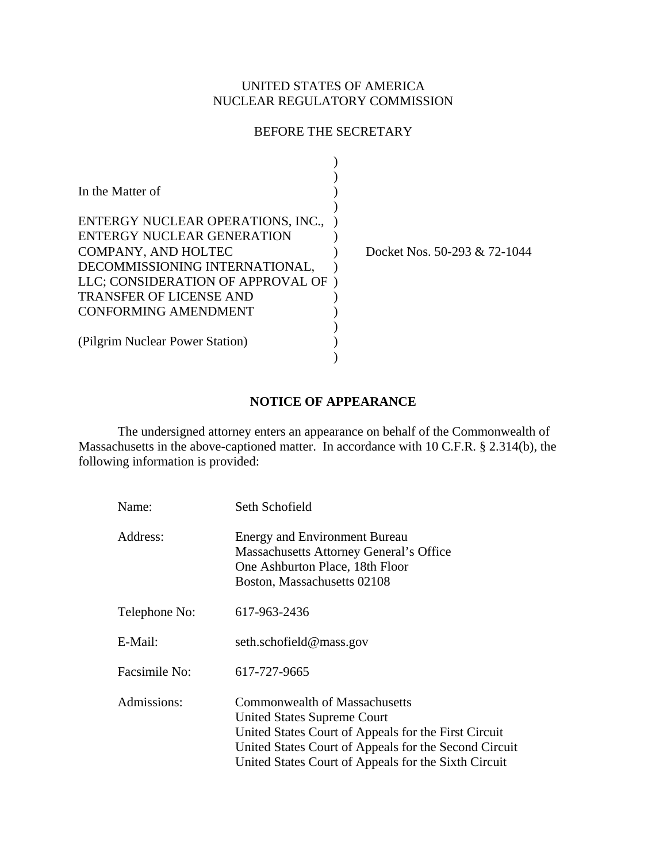# UNITED STATES OF AMERICA NUCLEAR REGULATORY COMMISSION

## BEFORE THE SECRETARY

| In the Matter of<br>ENTERGY NUCLEAR OPERATIONS, INC.,                |                              |
|----------------------------------------------------------------------|------------------------------|
| ENTERGY NUCLEAR GENERATION<br>COMPANY, AND HOLTEC                    | Docket Nos. 50-293 & 72-1044 |
| DECOMMISSIONING INTERNATIONAL,<br>LLC; CONSIDERATION OF APPROVAL OF) |                              |
| <b>TRANSFER OF LICENSE AND</b><br>CONFORMING AMENDMENT               |                              |
| (Pilgrim Nuclear Power Station)                                      |                              |

#### **NOTICE OF APPEARANCE**

 The undersigned attorney enters an appearance on behalf of the Commonwealth of Massachusetts in the above-captioned matter. In accordance with 10 C.F.R. § 2.314(b), the following information is provided:

| Name:         | Seth Schofield                                                                                                                                                                                                                        |
|---------------|---------------------------------------------------------------------------------------------------------------------------------------------------------------------------------------------------------------------------------------|
| Address:      | <b>Energy and Environment Bureau</b><br>Massachusetts Attorney General's Office<br>One Ashburton Place, 18th Floor<br>Boston, Massachusetts 02108                                                                                     |
| Telephone No: | 617-963-2436                                                                                                                                                                                                                          |
| E-Mail:       | seth.schofield@mass.gov                                                                                                                                                                                                               |
| Facsimile No: | 617-727-9665                                                                                                                                                                                                                          |
| Admissions:   | Commonwealth of Massachusetts<br>United States Supreme Court<br>United States Court of Appeals for the First Circuit<br>United States Court of Appeals for the Second Circuit<br>United States Court of Appeals for the Sixth Circuit |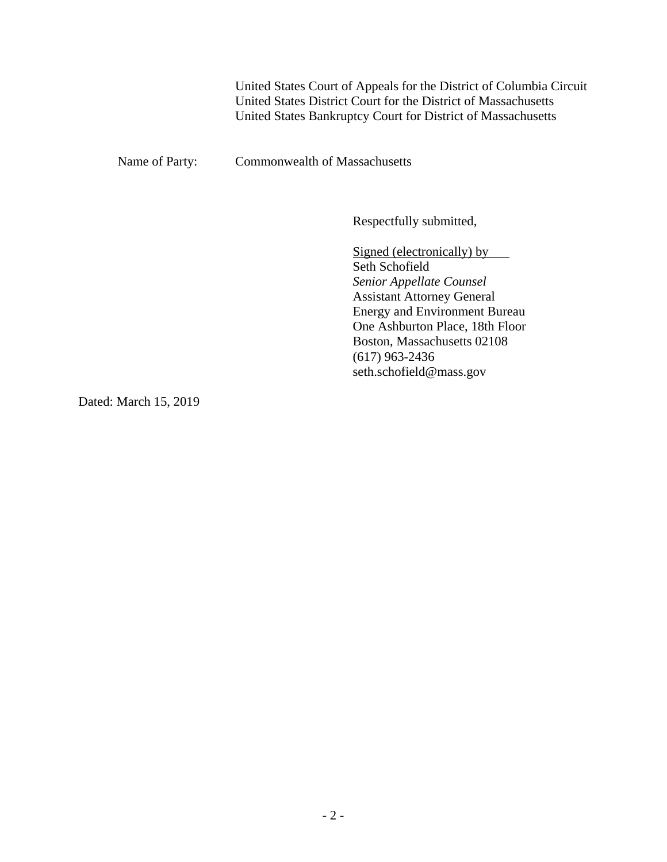United States Court of Appeals for the District of Columbia Circuit United States District Court for the District of Massachusetts United States Bankruptcy Court for District of Massachusetts

Name of Party: Commonwealth of Massachusetts

Respectfully submitted,

 Signed (electronically) by Seth Schofield *Senior Appellate Counsel*  Assistant Attorney General Energy and Environment Bureau One Ashburton Place, 18th Floor Boston, Massachusetts 02108 (617) 963-2436 seth.schofield@mass.gov

Dated: March 15, 2019